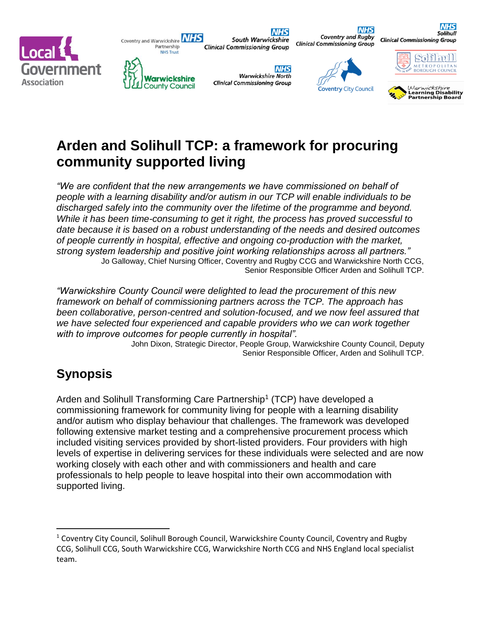Coventry and Warwickshire NHS Partnership





**Clinical Commissioning Group** 

South Warwickshire

**NHS Warwickshire North Clinical Commissioning Group Coventry City Council** 

**NHS** 



**Coventry and Rugby** 

**Clinical Commissioning Group** 

**NHS** 



**Clinical Commissioning Group** 

Solihull



# **Arden and Solihull TCP: a framework for procuring community supported living**

*"We are confident that the new arrangements we have commissioned on behalf of people with a learning disability and/or autism in our TCP will enable individuals to be discharged safely into the community over the lifetime of the programme and beyond. While it has been time-consuming to get it right, the process has proved successful to date because it is based on a robust understanding of the needs and desired outcomes of people currently in hospital, effective and ongoing co-production with the market, strong system leadership and positive joint working relationships across all partners."* Jo Galloway, Chief Nursing Officer, Coventry and Rugby CCG and Warwickshire North CCG, Senior Responsible Officer Arden and Solihull TCP.

*"Warwickshire County Council were delighted to lead the procurement of this new framework on behalf of commissioning partners across the TCP. The approach has been collaborative, person-centred and solution-focused, and we now feel assured that we have selected four experienced and capable providers who we can work together with to improve outcomes for people currently in hospital".*

John Dixon, Strategic Director, People Group, Warwickshire County Council, Deputy Senior Responsible Officer, Arden and Solihull TCP.

## **Synopsis**

 $\overline{\phantom{a}}$ 

Arden and Solihull Transforming Care Partnership<sup>1</sup> (TCP) have developed a commissioning framework for community living for people with a learning disability and/or autism who display behaviour that challenges. The framework was developed following extensive market testing and a comprehensive procurement process which included visiting services provided by short-listed providers. Four providers with high levels of expertise in delivering services for these individuals were selected and are now working closely with each other and with commissioners and health and care professionals to help people to leave hospital into their own accommodation with supported living.

<sup>&</sup>lt;sup>1</sup> Coventry City Council, Solihull Borough Council, Warwickshire County Council, Coventry and Rugby CCG, Solihull CCG, South Warwickshire CCG, Warwickshire North CCG and NHS England local specialist team.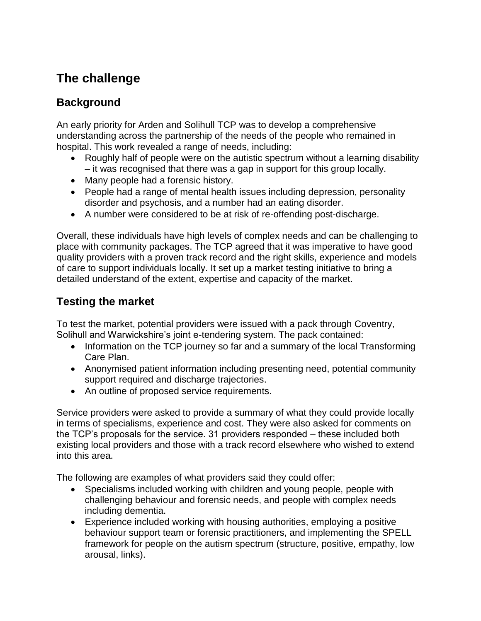# **The challenge**

## **Background**

An early priority for Arden and Solihull TCP was to develop a comprehensive understanding across the partnership of the needs of the people who remained in hospital. This work revealed a range of needs, including:

- Roughly half of people were on the autistic spectrum without a learning disability – it was recognised that there was a gap in support for this group locally.
- Many people had a forensic history.
- People had a range of mental health issues including depression, personality disorder and psychosis, and a number had an eating disorder.
- A number were considered to be at risk of re-offending post-discharge.

Overall, these individuals have high levels of complex needs and can be challenging to place with community packages. The TCP agreed that it was imperative to have good quality providers with a proven track record and the right skills, experience and models of care to support individuals locally. It set up a market testing initiative to bring a detailed understand of the extent, expertise and capacity of the market.

### **Testing the market**

To test the market, potential providers were issued with a pack through Coventry, Solihull and Warwickshire's joint e-tendering system. The pack contained:

- Information on the TCP journey so far and a summary of the local Transforming Care Plan.
- Anonymised patient information including presenting need, potential community support required and discharge trajectories.
- An outline of proposed service requirements.

Service providers were asked to provide a summary of what they could provide locally in terms of specialisms, experience and cost. They were also asked for comments on the TCP's proposals for the service. 31 providers responded – these included both existing local providers and those with a track record elsewhere who wished to extend into this area.

The following are examples of what providers said they could offer:

- Specialisms included working with children and young people, people with challenging behaviour and forensic needs, and people with complex needs including dementia.
- Experience included working with housing authorities, employing a positive behaviour support team or forensic practitioners, and implementing the SPELL framework for people on the autism spectrum (structure, positive, empathy, low arousal, links).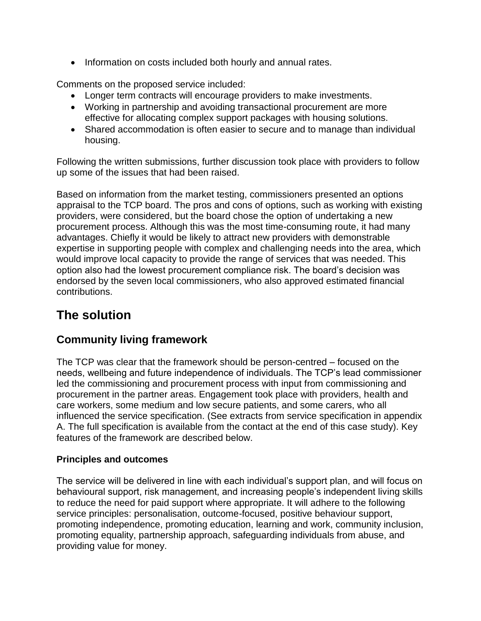• Information on costs included both hourly and annual rates.

Comments on the proposed service included:

- Longer term contracts will encourage providers to make investments.
- Working in partnership and avoiding transactional procurement are more effective for allocating complex support packages with housing solutions.
- Shared accommodation is often easier to secure and to manage than individual housing.

Following the written submissions, further discussion took place with providers to follow up some of the issues that had been raised.

Based on information from the market testing, commissioners presented an options appraisal to the TCP board. The pros and cons of options, such as working with existing providers, were considered, but the board chose the option of undertaking a new procurement process. Although this was the most time-consuming route, it had many advantages. Chiefly it would be likely to attract new providers with demonstrable expertise in supporting people with complex and challenging needs into the area, which would improve local capacity to provide the range of services that was needed. This option also had the lowest procurement compliance risk. The board's decision was endorsed by the seven local commissioners, who also approved estimated financial contributions.

# **The solution**

#### **Community living framework**

The TCP was clear that the framework should be person-centred – focused on the needs, wellbeing and future independence of individuals. The TCP's lead commissioner led the commissioning and procurement process with input from commissioning and procurement in the partner areas. Engagement took place with providers, health and care workers, some medium and low secure patients, and some carers, who all influenced the service specification. (See extracts from service specification in appendix A. The full specification is available from the contact at the end of this case study). Key features of the framework are described below.

#### **Principles and outcomes**

The service will be delivered in line with each individual's support plan, and will focus on behavioural support, risk management, and increasing people's independent living skills to reduce the need for paid support where appropriate. It will adhere to the following service principles: personalisation, outcome-focused, positive behaviour support, promoting independence, promoting education, learning and work, community inclusion, promoting equality, partnership approach, safeguarding individuals from abuse, and providing value for money.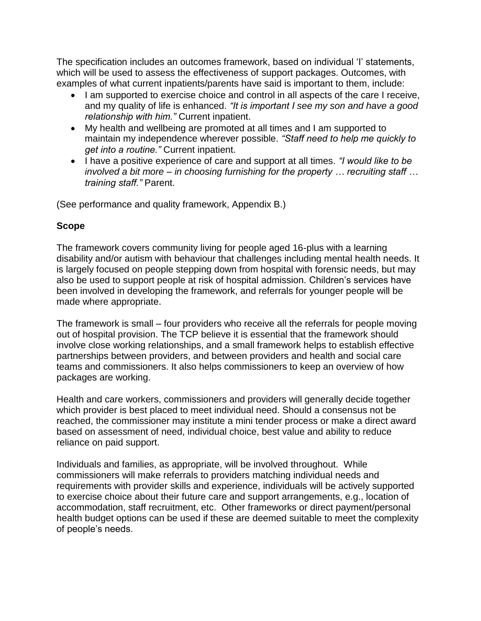The specification includes an outcomes framework, based on individual 'I' statements, which will be used to assess the effectiveness of support packages. Outcomes, with examples of what current inpatients/parents have said is important to them, include:

- I am supported to exercise choice and control in all aspects of the care I receive, and my quality of life is enhanced. *"It is important I see my son and have a good relationship with him."* Current inpatient.
- My health and wellbeing are promoted at all times and I am supported to maintain my independence wherever possible. *"Staff need to help me quickly to get into a routine."* Current inpatient.
- I have a positive experience of care and support at all times. *"I would like to be involved a bit more – in choosing furnishing for the property … recruiting staff … training staff."* Parent.

(See performance and quality framework, Appendix B.)

#### **Scope**

The framework covers community living for people aged 16-plus with a learning disability and/or autism with behaviour that challenges including mental health needs. It is largely focused on people stepping down from hospital with forensic needs, but may also be used to support people at risk of hospital admission. Children's services have been involved in developing the framework, and referrals for younger people will be made where appropriate.

The framework is small – four providers who receive all the referrals for people moving out of hospital provision. The TCP believe it is essential that the framework should involve close working relationships, and a small framework helps to establish effective partnerships between providers, and between providers and health and social care teams and commissioners. It also helps commissioners to keep an overview of how packages are working.

Health and care workers, commissioners and providers will generally decide together which provider is best placed to meet individual need. Should a consensus not be reached, the commissioner may institute a mini tender process or make a direct award based on assessment of need, individual choice, best value and ability to reduce reliance on paid support.

Individuals and families, as appropriate, will be involved throughout. While commissioners will make referrals to providers matching individual needs and requirements with provider skills and experience, individuals will be actively supported to exercise choice about their future care and support arrangements, e.g., location of accommodation, staff recruitment, etc. Other frameworks or direct payment/personal health budget options can be used if these are deemed suitable to meet the complexity of people's needs.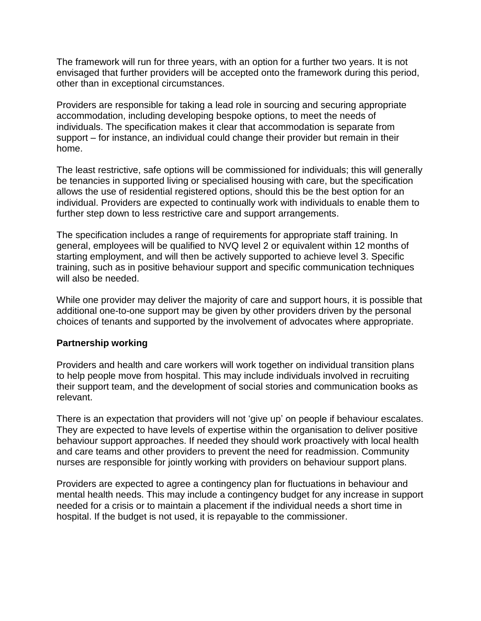The framework will run for three years, with an option for a further two years. It is not envisaged that further providers will be accepted onto the framework during this period, other than in exceptional circumstances.

Providers are responsible for taking a lead role in sourcing and securing appropriate accommodation, including developing bespoke options, to meet the needs of individuals. The specification makes it clear that accommodation is separate from support – for instance, an individual could change their provider but remain in their home.

The least restrictive, safe options will be commissioned for individuals; this will generally be tenancies in supported living or specialised housing with care, but the specification allows the use of residential registered options, should this be the best option for an individual. Providers are expected to continually work with individuals to enable them to further step down to less restrictive care and support arrangements.

The specification includes a range of requirements for appropriate staff training. In general, employees will be qualified to NVQ level 2 or equivalent within 12 months of starting employment, and will then be actively supported to achieve level 3. Specific training, such as in positive behaviour support and specific communication techniques will also be needed.

While one provider may deliver the majority of care and support hours, it is possible that additional one-to-one support may be given by other providers driven by the personal choices of tenants and supported by the involvement of advocates where appropriate.

#### **Partnership working**

Providers and health and care workers will work together on individual transition plans to help people move from hospital. This may include individuals involved in recruiting their support team, and the development of social stories and communication books as relevant.

There is an expectation that providers will not 'give up' on people if behaviour escalates. They are expected to have levels of expertise within the organisation to deliver positive behaviour support approaches. If needed they should work proactively with local health and care teams and other providers to prevent the need for readmission. Community nurses are responsible for jointly working with providers on behaviour support plans.

Providers are expected to agree a contingency plan for fluctuations in behaviour and mental health needs. This may include a contingency budget for any increase in support needed for a crisis or to maintain a placement if the individual needs a short time in hospital. If the budget is not used, it is repayable to the commissioner.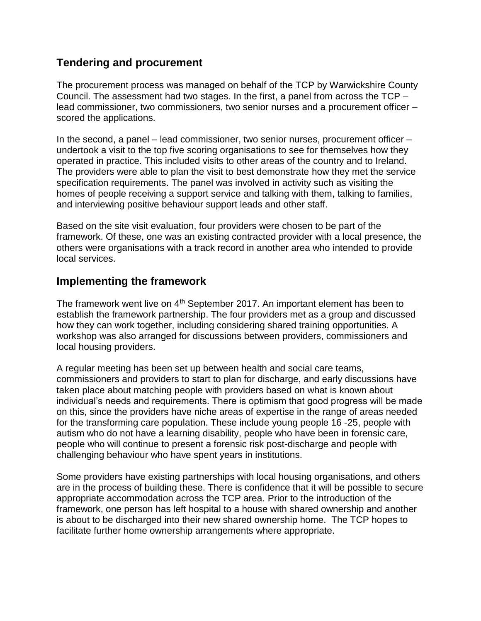#### **Tendering and procurement**

The procurement process was managed on behalf of the TCP by Warwickshire County Council. The assessment had two stages. In the first, a panel from across the TCP – lead commissioner, two commissioners, two senior nurses and a procurement officer – scored the applications.

In the second, a panel – lead commissioner, two senior nurses, procurement officer – undertook a visit to the top five scoring organisations to see for themselves how they operated in practice. This included visits to other areas of the country and to Ireland. The providers were able to plan the visit to best demonstrate how they met the service specification requirements. The panel was involved in activity such as visiting the homes of people receiving a support service and talking with them, talking to families, and interviewing positive behaviour support leads and other staff.

Based on the site visit evaluation, four providers were chosen to be part of the framework. Of these, one was an existing contracted provider with a local presence, the others were organisations with a track record in another area who intended to provide local services.

#### **Implementing the framework**

The framework went live on 4<sup>th</sup> September 2017. An important element has been to establish the framework partnership. The four providers met as a group and discussed how they can work together, including considering shared training opportunities. A workshop was also arranged for discussions between providers, commissioners and local housing providers.

A regular meeting has been set up between health and social care teams, commissioners and providers to start to plan for discharge, and early discussions have taken place about matching people with providers based on what is known about individual's needs and requirements. There is optimism that good progress will be made on this, since the providers have niche areas of expertise in the range of areas needed for the transforming care population. These include young people 16 -25, people with autism who do not have a learning disability, people who have been in forensic care, people who will continue to present a forensic risk post-discharge and people with challenging behaviour who have spent years in institutions.

Some providers have existing partnerships with local housing organisations, and others are in the process of building these. There is confidence that it will be possible to secure appropriate accommodation across the TCP area. Prior to the introduction of the framework, one person has left hospital to a house with shared ownership and another is about to be discharged into their new shared ownership home. The TCP hopes to facilitate further home ownership arrangements where appropriate.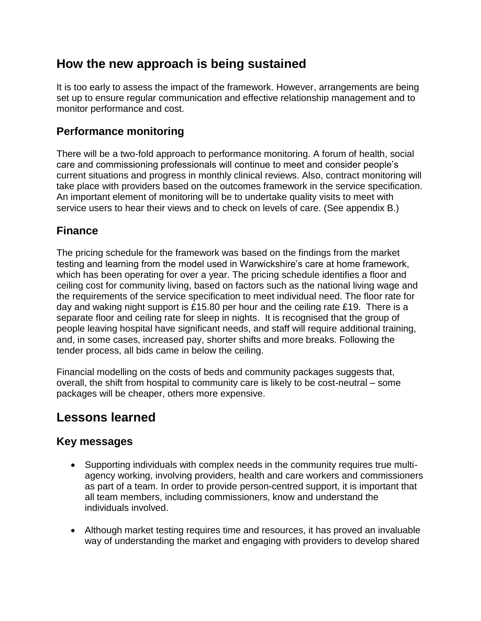## **How the new approach is being sustained**

It is too early to assess the impact of the framework. However, arrangements are being set up to ensure regular communication and effective relationship management and to monitor performance and cost.

#### **Performance monitoring**

There will be a two-fold approach to performance monitoring. A forum of health, social care and commissioning professionals will continue to meet and consider people's current situations and progress in monthly clinical reviews. Also, contract monitoring will take place with providers based on the outcomes framework in the service specification. An important element of monitoring will be to undertake quality visits to meet with service users to hear their views and to check on levels of care. (See appendix B.)

## **Finance**

The pricing schedule for the framework was based on the findings from the market testing and learning from the model used in Warwickshire's care at home framework, which has been operating for over a year. The pricing schedule identifies a floor and ceiling cost for community living, based on factors such as the national living wage and the requirements of the service specification to meet individual need. The floor rate for day and waking night support is £15.80 per hour and the ceiling rate £19. There is a separate floor and ceiling rate for sleep in nights. It is recognised that the group of people leaving hospital have significant needs, and staff will require additional training, and, in some cases, increased pay, shorter shifts and more breaks. Following the tender process, all bids came in below the ceiling.

Financial modelling on the costs of beds and community packages suggests that, overall, the shift from hospital to community care is likely to be cost-neutral – some packages will be cheaper, others more expensive.

## **Lessons learned**

#### **Key messages**

- Supporting individuals with complex needs in the community requires true multiagency working, involving providers, health and care workers and commissioners as part of a team. In order to provide person-centred support, it is important that all team members, including commissioners, know and understand the individuals involved.
- Although market testing requires time and resources, it has proved an invaluable way of understanding the market and engaging with providers to develop shared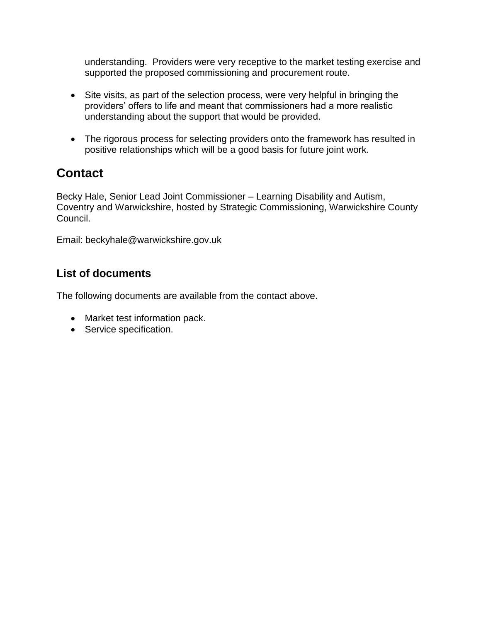understanding. Providers were very receptive to the market testing exercise and supported the proposed commissioning and procurement route.

- Site visits, as part of the selection process, were very helpful in bringing the providers' offers to life and meant that commissioners had a more realistic understanding about the support that would be provided.
- The rigorous process for selecting providers onto the framework has resulted in positive relationships which will be a good basis for future joint work.

## **Contact**

Becky Hale, Senior Lead Joint Commissioner – Learning Disability and Autism, Coventry and Warwickshire, hosted by Strategic Commissioning, Warwickshire County Council.

Email: beckyhale@warwickshire.gov.uk

#### **List of documents**

The following documents are available from the contact above.

- Market test information pack.
- Service specification.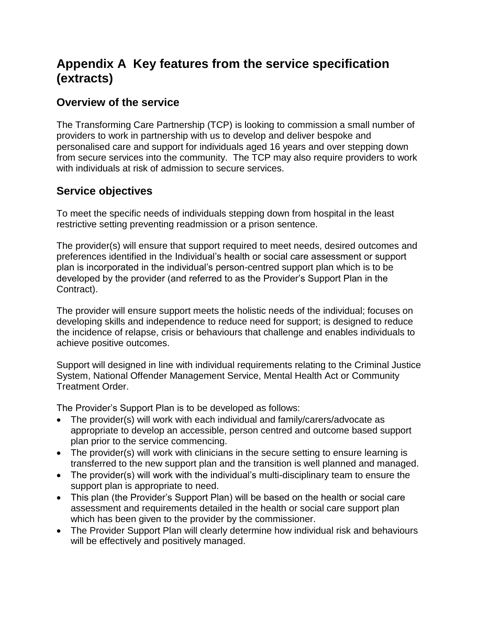## **Appendix A Key features from the service specification (extracts)**

#### **Overview of the service**

The Transforming Care Partnership (TCP) is looking to commission a small number of providers to work in partnership with us to develop and deliver bespoke and personalised care and support for individuals aged 16 years and over stepping down from secure services into the community. The TCP may also require providers to work with individuals at risk of admission to secure services.

#### **Service objectives**

To meet the specific needs of individuals stepping down from hospital in the least restrictive setting preventing readmission or a prison sentence.

The provider(s) will ensure that support required to meet needs, desired outcomes and preferences identified in the Individual's health or social care assessment or support plan is incorporated in the individual's person-centred support plan which is to be developed by the provider (and referred to as the Provider's Support Plan in the Contract).

The provider will ensure support meets the holistic needs of the individual; focuses on developing skills and independence to reduce need for support; is designed to reduce the incidence of relapse, crisis or behaviours that challenge and enables individuals to achieve positive outcomes.

Support will designed in line with individual requirements relating to the Criminal Justice System, National Offender Management Service, Mental Health Act or Community Treatment Order.

The Provider's Support Plan is to be developed as follows:

- The provider(s) will work with each individual and family/carers/advocate as appropriate to develop an accessible, person centred and outcome based support plan prior to the service commencing.
- The provider(s) will work with clinicians in the secure setting to ensure learning is transferred to the new support plan and the transition is well planned and managed.
- The provider(s) will work with the individual's multi-disciplinary team to ensure the support plan is appropriate to need.
- This plan (the Provider's Support Plan) will be based on the health or social care assessment and requirements detailed in the health or social care support plan which has been given to the provider by the commissioner.
- The Provider Support Plan will clearly determine how individual risk and behaviours will be effectively and positively managed.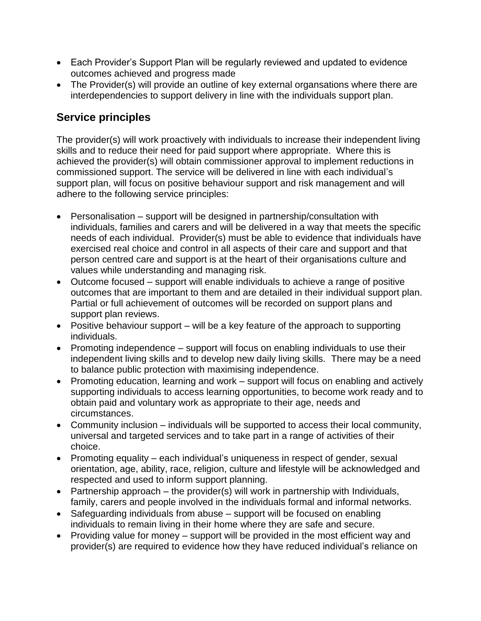- Each Provider's Support Plan will be regularly reviewed and updated to evidence outcomes achieved and progress made
- The Provider(s) will provide an outline of key external organsations where there are interdependencies to support delivery in line with the individuals support plan.

### **Service principles**

The provider(s) will work proactively with individuals to increase their independent living skills and to reduce their need for paid support where appropriate. Where this is achieved the provider(s) will obtain commissioner approval to implement reductions in commissioned support. The service will be delivered in line with each individual's support plan, will focus on positive behaviour support and risk management and will adhere to the following service principles:

- Personalisation support will be designed in partnership/consultation with individuals, families and carers and will be delivered in a way that meets the specific needs of each individual. Provider(s) must be able to evidence that individuals have exercised real choice and control in all aspects of their care and support and that person centred care and support is at the heart of their organisations culture and values while understanding and managing risk.
- Outcome focused support will enable individuals to achieve a range of positive outcomes that are important to them and are detailed in their individual support plan. Partial or full achievement of outcomes will be recorded on support plans and support plan reviews.
- Positive behaviour support will be a key feature of the approach to supporting individuals.
- Promoting independence support will focus on enabling individuals to use their independent living skills and to develop new daily living skills. There may be a need to balance public protection with maximising independence.
- Promoting education, learning and work support will focus on enabling and actively supporting individuals to access learning opportunities, to become work ready and to obtain paid and voluntary work as appropriate to their age, needs and circumstances.
- Community inclusion individuals will be supported to access their local community, universal and targeted services and to take part in a range of activities of their choice.
- Promoting equality each individual's uniqueness in respect of gender, sexual orientation, age, ability, race, religion, culture and lifestyle will be acknowledged and respected and used to inform support planning.
- Partnership approach the provider(s) will work in partnership with Individuals, family, carers and people involved in the individuals formal and informal networks.
- Safeguarding individuals from abuse support will be focused on enabling individuals to remain living in their home where they are safe and secure.
- Providing value for money support will be provided in the most efficient way and provider(s) are required to evidence how they have reduced individual's reliance on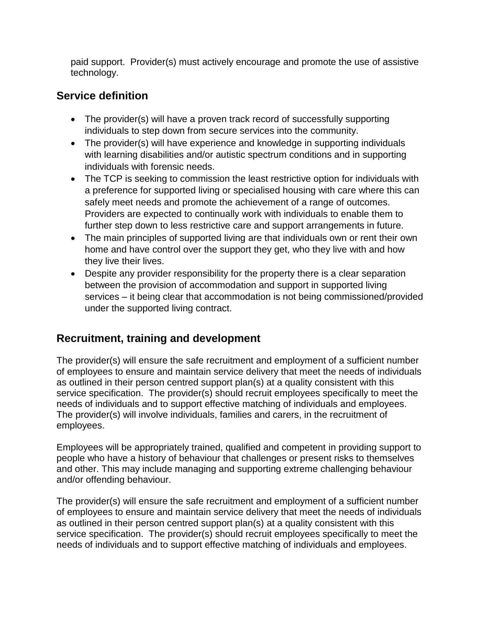paid support. Provider(s) must actively encourage and promote the use of assistive technology.

### **Service definition**

- The provider(s) will have a proven track record of successfully supporting individuals to step down from secure services into the community.
- The provider(s) will have experience and knowledge in supporting individuals with learning disabilities and/or autistic spectrum conditions and in supporting individuals with forensic needs.
- The TCP is seeking to commission the least restrictive option for individuals with a preference for supported living or specialised housing with care where this can safely meet needs and promote the achievement of a range of outcomes. Providers are expected to continually work with individuals to enable them to further step down to less restrictive care and support arrangements in future.
- The main principles of supported living are that individuals own or rent their own home and have control over the support they get, who they live with and how they live their lives.
- Despite any provider responsibility for the property there is a clear separation between the provision of accommodation and support in supported living services – it being clear that accommodation is not being commissioned/provided under the supported living contract.

## **Recruitment, training and development**

The provider(s) will ensure the safe recruitment and employment of a sufficient number of employees to ensure and maintain service delivery that meet the needs of individuals as outlined in their person centred support plan(s) at a quality consistent with this service specification. The provider(s) should recruit employees specifically to meet the needs of individuals and to support effective matching of individuals and employees. The provider(s) will involve individuals, families and carers, in the recruitment of employees.

Employees will be appropriately trained, qualified and competent in providing support to people who have a history of behaviour that challenges or present risks to themselves and other. This may include managing and supporting extreme challenging behaviour and/or offending behaviour.

The provider(s) will ensure the safe recruitment and employment of a sufficient number of employees to ensure and maintain service delivery that meet the needs of individuals as outlined in their person centred support plan(s) at a quality consistent with this service specification. The provider(s) should recruit employees specifically to meet the needs of individuals and to support effective matching of individuals and employees.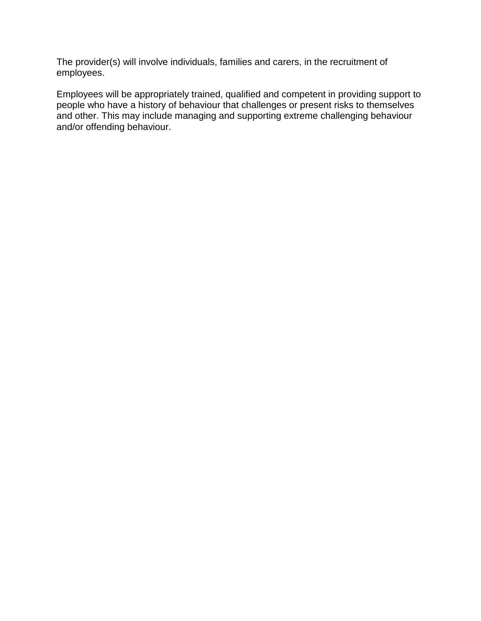The provider(s) will involve individuals, families and carers, in the recruitment of employees.

Employees will be appropriately trained, qualified and competent in providing support to people who have a history of behaviour that challenges or present risks to themselves and other. This may include managing and supporting extreme challenging behaviour and/or offending behaviour.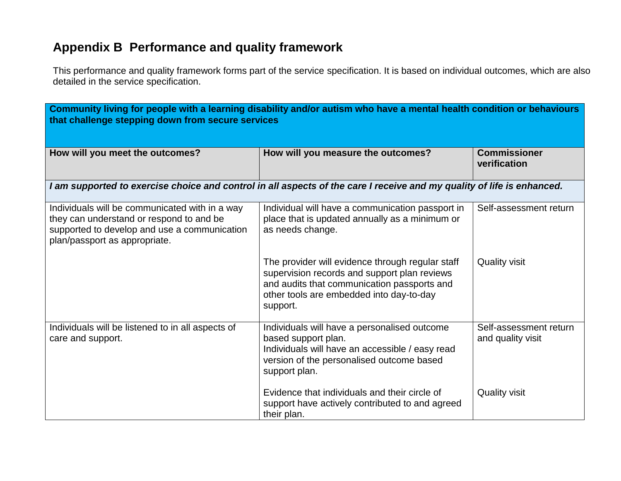# **Appendix B Performance and quality framework**

This performance and quality framework forms part of the service specification. It is based on individual outcomes, which are also detailed in the service specification.

| Community living for people with a learning disability and/or autism who have a mental health condition or behaviours<br>that challenge stepping down from secure services  |                                                                                                                                                                                                         |                                             |  |
|-----------------------------------------------------------------------------------------------------------------------------------------------------------------------------|---------------------------------------------------------------------------------------------------------------------------------------------------------------------------------------------------------|---------------------------------------------|--|
| How will you meet the outcomes?                                                                                                                                             | How will you measure the outcomes?                                                                                                                                                                      | <b>Commissioner</b><br>verification         |  |
| I am supported to exercise choice and control in all aspects of the care I receive and my quality of life is enhanced.                                                      |                                                                                                                                                                                                         |                                             |  |
| Individuals will be communicated with in a way<br>they can understand or respond to and be<br>supported to develop and use a communication<br>plan/passport as appropriate. | Individual will have a communication passport in<br>place that is updated annually as a minimum or<br>as needs change.                                                                                  | Self-assessment return                      |  |
|                                                                                                                                                                             | The provider will evidence through regular staff<br>supervision records and support plan reviews<br>and audits that communication passports and<br>other tools are embedded into day-to-day<br>support. | <b>Quality visit</b>                        |  |
| Individuals will be listened to in all aspects of<br>care and support.                                                                                                      | Individuals will have a personalised outcome<br>based support plan.<br>Individuals will have an accessible / easy read<br>version of the personalised outcome based<br>support plan.                    | Self-assessment return<br>and quality visit |  |
|                                                                                                                                                                             | Evidence that individuals and their circle of<br>support have actively contributed to and agreed<br>their plan.                                                                                         | <b>Quality visit</b>                        |  |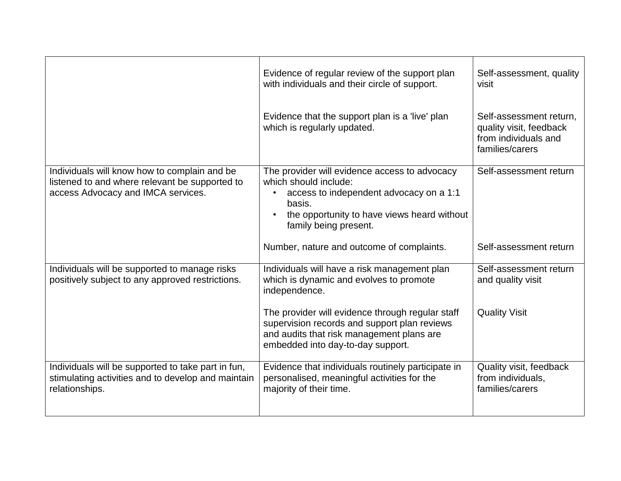|                                                                                                                                      | Evidence of regular review of the support plan<br>with individuals and their circle of support.                                                                                                     | Self-assessment, quality<br>visit                                                             |
|--------------------------------------------------------------------------------------------------------------------------------------|-----------------------------------------------------------------------------------------------------------------------------------------------------------------------------------------------------|-----------------------------------------------------------------------------------------------|
|                                                                                                                                      | Evidence that the support plan is a 'live' plan<br>which is regularly updated.                                                                                                                      | Self-assessment return,<br>quality visit, feedback<br>from individuals and<br>families/carers |
| Individuals will know how to complain and be<br>listened to and where relevant be supported to<br>access Advocacy and IMCA services. | The provider will evidence access to advocacy<br>which should include:<br>access to independent advocacy on a 1:1<br>basis.<br>the opportunity to have views heard without<br>family being present. | Self-assessment return                                                                        |
|                                                                                                                                      | Number, nature and outcome of complaints.                                                                                                                                                           | Self-assessment return                                                                        |
| Individuals will be supported to manage risks<br>positively subject to any approved restrictions.                                    | Individuals will have a risk management plan<br>which is dynamic and evolves to promote<br>independence.                                                                                            | Self-assessment return<br>and quality visit                                                   |
|                                                                                                                                      | The provider will evidence through regular staff<br>supervision records and support plan reviews<br>and audits that risk management plans are<br>embedded into day-to-day support.                  | <b>Quality Visit</b>                                                                          |
| Individuals will be supported to take part in fun,<br>stimulating activities and to develop and maintain<br>relationships.           | Evidence that individuals routinely participate in<br>personalised, meaningful activities for the<br>majority of their time.                                                                        | Quality visit, feedback<br>from individuals,<br>families/carers                               |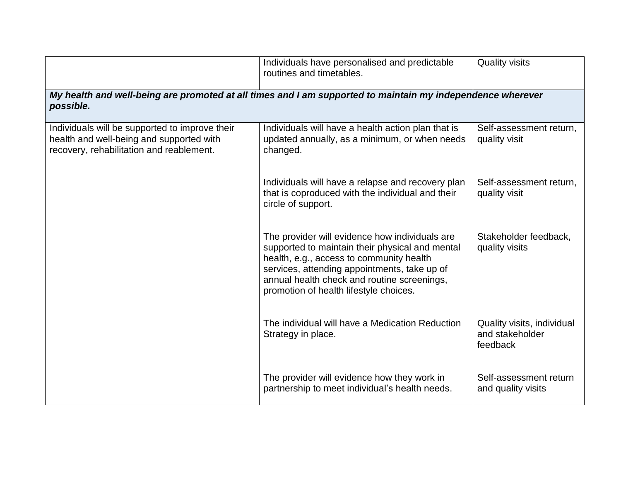|                                                                                                                                        | Individuals have personalised and predictable<br>routines and timetables.                                                                                                                                                                                                              | <b>Quality visits</b>                                     |
|----------------------------------------------------------------------------------------------------------------------------------------|----------------------------------------------------------------------------------------------------------------------------------------------------------------------------------------------------------------------------------------------------------------------------------------|-----------------------------------------------------------|
| My health and well-being are promoted at all times and I am supported to maintain my independence wherever<br>possible.                |                                                                                                                                                                                                                                                                                        |                                                           |
| Individuals will be supported to improve their<br>health and well-being and supported with<br>recovery, rehabilitation and reablement. | Individuals will have a health action plan that is<br>updated annually, as a minimum, or when needs<br>changed.                                                                                                                                                                        | Self-assessment return,<br>quality visit                  |
|                                                                                                                                        | Individuals will have a relapse and recovery plan<br>that is coproduced with the individual and their<br>circle of support.                                                                                                                                                            | Self-assessment return,<br>quality visit                  |
|                                                                                                                                        | The provider will evidence how individuals are<br>supported to maintain their physical and mental<br>health, e.g., access to community health<br>services, attending appointments, take up of<br>annual health check and routine screenings,<br>promotion of health lifestyle choices. | Stakeholder feedback,<br>quality visits                   |
|                                                                                                                                        | The individual will have a Medication Reduction<br>Strategy in place.                                                                                                                                                                                                                  | Quality visits, individual<br>and stakeholder<br>feedback |
|                                                                                                                                        | The provider will evidence how they work in<br>partnership to meet individual's health needs.                                                                                                                                                                                          | Self-assessment return<br>and quality visits              |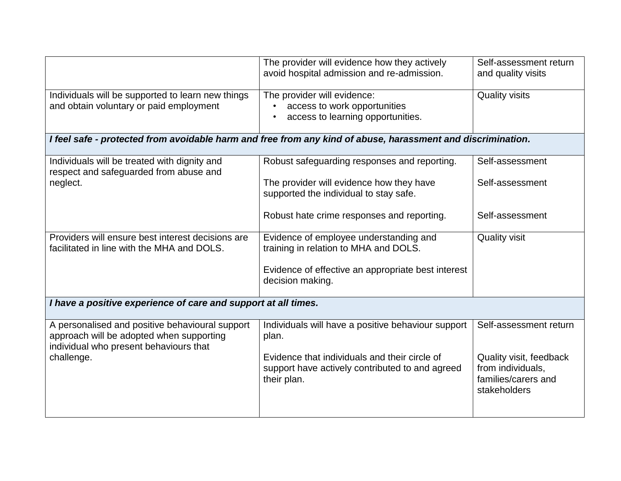|                                                                                                                                       | The provider will evidence how they actively<br>avoid hospital admission and re-admission.                      | Self-assessment return<br>and quality visits                                        |
|---------------------------------------------------------------------------------------------------------------------------------------|-----------------------------------------------------------------------------------------------------------------|-------------------------------------------------------------------------------------|
| Individuals will be supported to learn new things<br>and obtain voluntary or paid employment                                          | The provider will evidence:<br>access to work opportunities<br>access to learning opportunities.                | <b>Quality visits</b>                                                               |
|                                                                                                                                       | I feel safe - protected from avoidable harm and free from any kind of abuse, harassment and discrimination.     |                                                                                     |
| Individuals will be treated with dignity and<br>respect and safeguarded from abuse and                                                | Robust safeguarding responses and reporting.                                                                    | Self-assessment                                                                     |
| neglect.                                                                                                                              | The provider will evidence how they have<br>supported the individual to stay safe.                              | Self-assessment                                                                     |
|                                                                                                                                       | Robust hate crime responses and reporting.                                                                      | Self-assessment                                                                     |
| Providers will ensure best interest decisions are<br>facilitated in line with the MHA and DOLS.                                       | Evidence of employee understanding and<br>training in relation to MHA and DOLS.                                 | <b>Quality visit</b>                                                                |
|                                                                                                                                       | Evidence of effective an appropriate best interest<br>decision making.                                          |                                                                                     |
| I have a positive experience of care and support at all times.                                                                        |                                                                                                                 |                                                                                     |
| A personalised and positive behavioural support<br>approach will be adopted when supporting<br>individual who present behaviours that | Individuals will have a positive behaviour support<br>plan.                                                     | Self-assessment return                                                              |
| challenge.                                                                                                                            | Evidence that individuals and their circle of<br>support have actively contributed to and agreed<br>their plan. | Quality visit, feedback<br>from individuals.<br>families/carers and<br>stakeholders |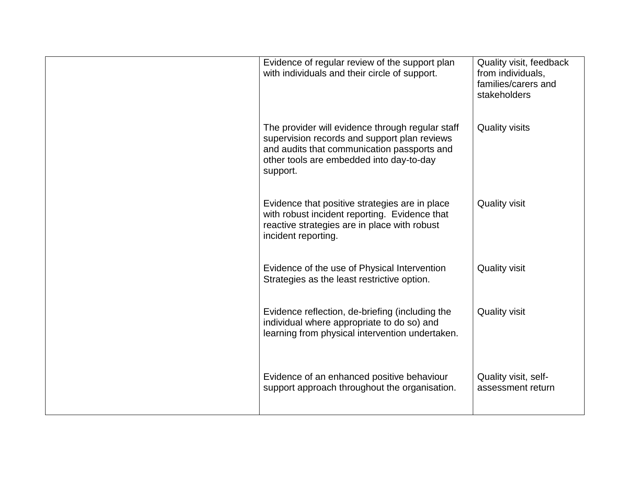| Evidence of regular review of the support plan<br>with individuals and their circle of support.                                                                                                         | Quality visit, feedback<br>from individuals,<br>families/carers and<br>stakeholders |
|---------------------------------------------------------------------------------------------------------------------------------------------------------------------------------------------------------|-------------------------------------------------------------------------------------|
| The provider will evidence through regular staff<br>supervision records and support plan reviews<br>and audits that communication passports and<br>other tools are embedded into day-to-day<br>support. | <b>Quality visits</b>                                                               |
| Evidence that positive strategies are in place<br>with robust incident reporting. Evidence that<br>reactive strategies are in place with robust<br>incident reporting.                                  | <b>Quality visit</b>                                                                |
| Evidence of the use of Physical Intervention<br>Strategies as the least restrictive option.                                                                                                             | <b>Quality visit</b>                                                                |
| Evidence reflection, de-briefing (including the<br>individual where appropriate to do so) and<br>learning from physical intervention undertaken.                                                        | <b>Quality visit</b>                                                                |
| Evidence of an enhanced positive behaviour<br>support approach throughout the organisation.                                                                                                             | Quality visit, self-<br>assessment return                                           |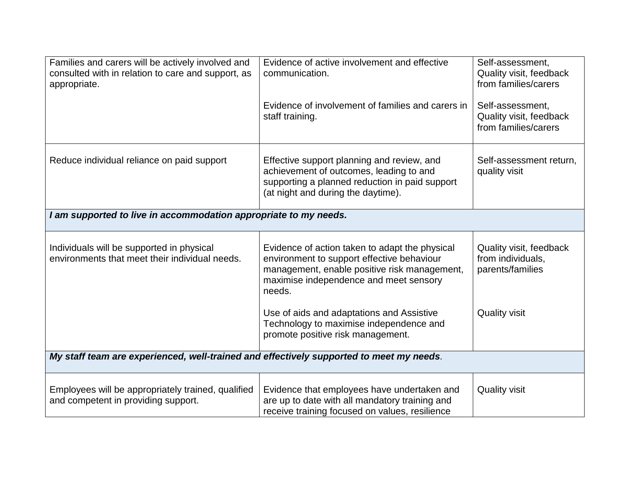| Families and carers will be actively involved and<br>consulted with in relation to care and support, as<br>appropriate. | Evidence of active involvement and effective<br>communication.                                                                                                                                   | Self-assessment,<br>Quality visit, feedback<br>from families/carers |
|-------------------------------------------------------------------------------------------------------------------------|--------------------------------------------------------------------------------------------------------------------------------------------------------------------------------------------------|---------------------------------------------------------------------|
|                                                                                                                         | Evidence of involvement of families and carers in<br>staff training.                                                                                                                             | Self-assessment,<br>Quality visit, feedback<br>from families/carers |
| Reduce individual reliance on paid support                                                                              | Effective support planning and review, and<br>achievement of outcomes, leading to and<br>supporting a planned reduction in paid support<br>(at night and during the daytime).                    | Self-assessment return,<br>quality visit                            |
| I am supported to live in accommodation appropriate to my needs.                                                        |                                                                                                                                                                                                  |                                                                     |
| Individuals will be supported in physical<br>environments that meet their individual needs.                             | Evidence of action taken to adapt the physical<br>environment to support effective behaviour<br>management, enable positive risk management,<br>maximise independence and meet sensory<br>needs. | Quality visit, feedback<br>from individuals,<br>parents/families    |
|                                                                                                                         | Use of aids and adaptations and Assistive<br>Technology to maximise independence and<br>promote positive risk management.                                                                        | <b>Quality visit</b>                                                |
| My staff team are experienced, well-trained and effectively supported to meet my needs.                                 |                                                                                                                                                                                                  |                                                                     |
| Employees will be appropriately trained, qualified<br>and competent in providing support.                               | Evidence that employees have undertaken and<br>are up to date with all mandatory training and<br>receive training focused on values, resilience                                                  | <b>Quality visit</b>                                                |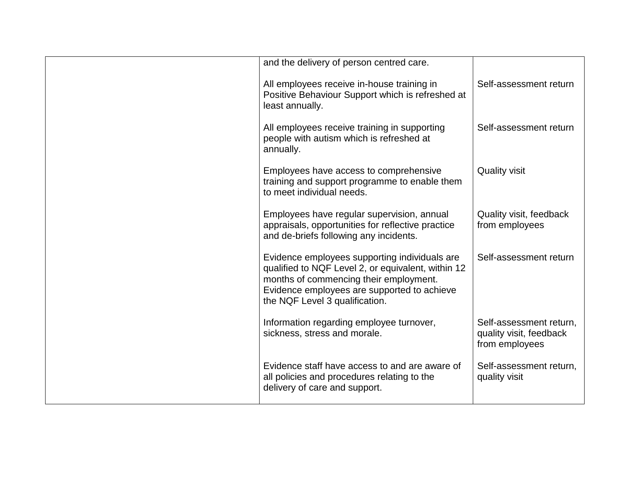| and the delivery of person centred care.                                                                                                                                                                                       |                                                                      |
|--------------------------------------------------------------------------------------------------------------------------------------------------------------------------------------------------------------------------------|----------------------------------------------------------------------|
| All employees receive in-house training in<br>Positive Behaviour Support which is refreshed at<br>least annually.                                                                                                              | Self-assessment return                                               |
| All employees receive training in supporting<br>people with autism which is refreshed at<br>annually.                                                                                                                          | Self-assessment return                                               |
| Employees have access to comprehensive<br>training and support programme to enable them<br>to meet individual needs.                                                                                                           | <b>Quality visit</b>                                                 |
| Employees have regular supervision, annual<br>appraisals, opportunities for reflective practice<br>and de-briefs following any incidents.                                                                                      | Quality visit, feedback<br>from employees                            |
| Evidence employees supporting individuals are<br>qualified to NQF Level 2, or equivalent, within 12<br>months of commencing their employment.<br>Evidence employees are supported to achieve<br>the NQF Level 3 qualification. | Self-assessment return                                               |
| Information regarding employee turnover,<br>sickness, stress and morale.                                                                                                                                                       | Self-assessment return,<br>quality visit, feedback<br>from employees |
| Evidence staff have access to and are aware of<br>all policies and procedures relating to the<br>delivery of care and support.                                                                                                 | Self-assessment return,<br>quality visit                             |